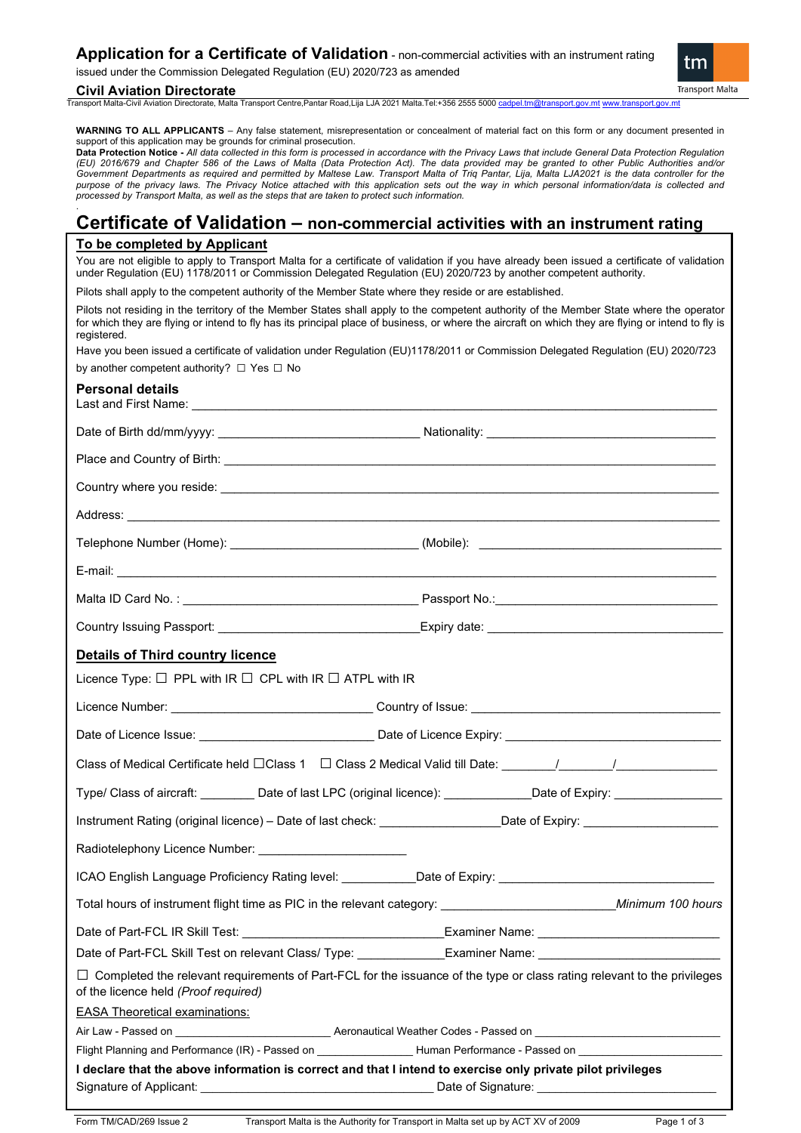issued under the Commission Delegated Regulation (EU) 2020/723 as amended

#### **Civil Aviation Directorate**

.

Transport Malta-Civil Aviation Directorate, Malta Transport Centre,Pantar Road,Lija LJA 2021 Malta.Tel:+356 2555 5000 [cadpel.tm@transport.gov.mt](mailto:cadpel.tm@transport.gov.mt) [www.transport.gov.mt](http://www.transport.gov.mt/)

**WARNING TO ALL APPLICANTS** – Any false statement, misrepresentation or concealment of material fact on this form or any document presented in support of this application may be grounds for criminal prosecution.

**Data Protection Notice -** *All data collected in this form is processed in accordance with the Privacy Laws that include General Data Protection Regulation (EU) 2016/679 and Chapter 586 of the Laws of Malta (Data Protection Act). The data provided may be granted to other Public Authorities and/or*  Government Departments as required and permitted by Maltese Law. Transport Malta of Triq Pantar, Lija, Malta LJA2021 is the data controller for the purpose of the privacy laws. The Privacy Notice attached with this application sets out the way in which personal information/data is collected and *processed by Transport Malta, as well as the steps that are taken to protect such information.*

## **Certificate of Validation – non-commercial activities with an instrument rating**

### **To be completed by Applicant**

You are not eligible to apply to Transport Malta for a certificate of validation if you have already been issued a certificate of validation under Regulation (EU) 1178/2011 or Commission Delegated Regulation (EU) 2020/723 by another competent authority.

Pilots shall apply to the competent authority of the Member State where they reside or are established.

Pilots not residing in the territory of the Member States shall apply to the competent authority of the Member State where the operator for which they are flying or intend to fly has its principal place of business, or where the aircraft on which they are flying or intend to fly is registered.

Have you been issued a certificate of validation under Regulation (EU)1178/2011 or Commission Delegated Regulation (EU) 2020/723 by another competent authority? □ Yes □ No

| <b>Personal details</b>                                                                                     |                                                                                                                                |
|-------------------------------------------------------------------------------------------------------------|--------------------------------------------------------------------------------------------------------------------------------|
|                                                                                                             |                                                                                                                                |
|                                                                                                             |                                                                                                                                |
|                                                                                                             |                                                                                                                                |
|                                                                                                             |                                                                                                                                |
|                                                                                                             | Telephone Number (Home): _____________________________(Mobile): ___________________________________                            |
|                                                                                                             |                                                                                                                                |
|                                                                                                             |                                                                                                                                |
|                                                                                                             |                                                                                                                                |
| <b>Details of Third country licence</b>                                                                     |                                                                                                                                |
| Licence Type: $\Box$ PPL with IR $\Box$ CPL with IR $\Box$ ATPL with IR                                     |                                                                                                                                |
|                                                                                                             |                                                                                                                                |
|                                                                                                             |                                                                                                                                |
|                                                                                                             | Class of Medical Certificate held □Class 1 □ Class 2 Medical Valid till Date: _______/_______/________________                 |
|                                                                                                             | Type/ Class of aircraft: _________ Date of last LPC (original licence): ____________Date of Expiry: ________________           |
|                                                                                                             | Instrument Rating (original licence) - Date of last check: ____________________Date of Expiry: _______________________         |
| Radiotelephony Licence Number: __________________________                                                   |                                                                                                                                |
|                                                                                                             | ICAO English Language Proficiency Rating level: ___________Date of Expiry: __________________________________                  |
|                                                                                                             |                                                                                                                                |
|                                                                                                             |                                                                                                                                |
|                                                                                                             | Date of Part-FCL Skill Test on relevant Class/ Type: _______________Examiner Name: _______________________                     |
| of the licence held (Proof required)                                                                        | $\Box$ Completed the relevant requirements of Part-FCL for the issuance of the type or class rating relevant to the privileges |
| <b>EASA Theoretical examinations:</b>                                                                       |                                                                                                                                |
|                                                                                                             |                                                                                                                                |
|                                                                                                             | Flight Planning and Performance (IR) - Passed on _________________Human Performance - Passed on ______________                 |
| I declare that the above information is correct and that I intend to exercise only private pilot privileges |                                                                                                                                |

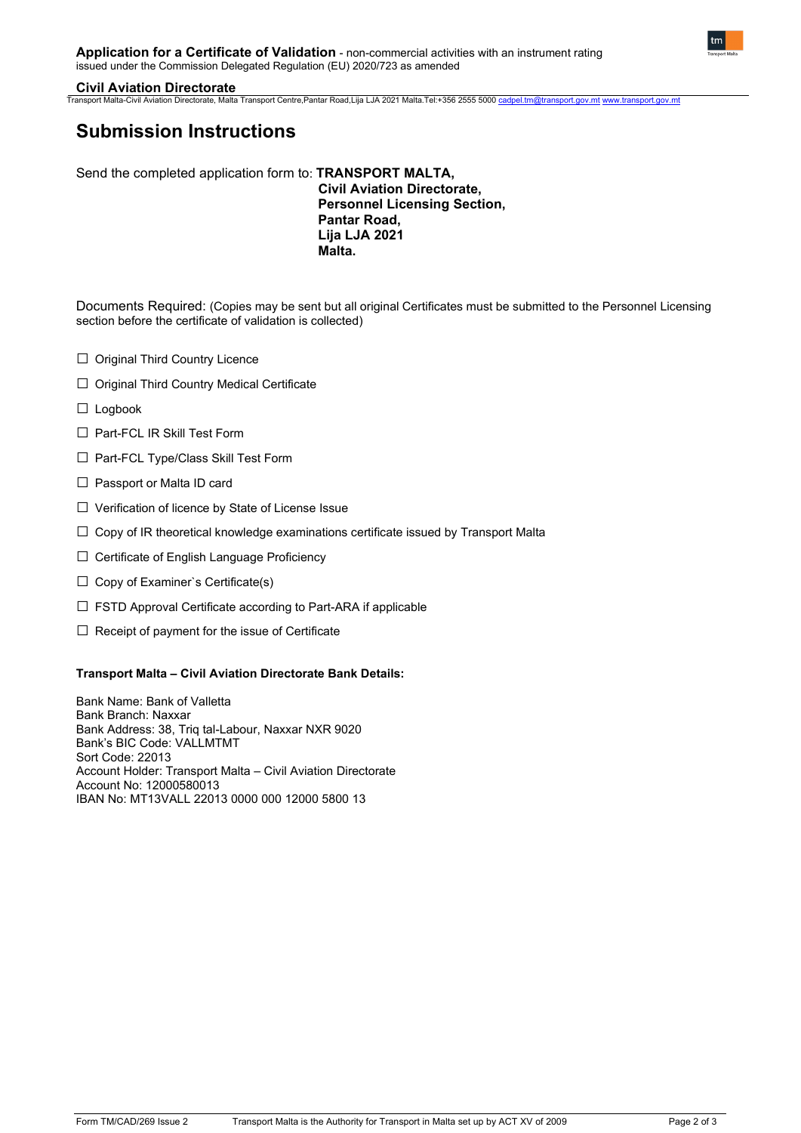#### **Civil Aviation Directorate**

Transport Malta-Civil Aviation Directorate, Malta Transport Centre,Pantar Road,Lija LJA 2021 Malta.Tel:+356 2555 5000 [cadpel.tm@transport.gov.mt](mailto:cadpel.tm@transport.gov.mt) [www.transport.gov.mt](http://www.transport.gov.mt/)

# **Submission Instructions**

Send the completed application form to: **TRANSPORT MALTA, Civil Aviation Directorate, Personnel Licensing Section, Pantar Road, Lija LJA 2021 Malta.**

Documents Required: (Copies may be sent but all original Certificates must be submitted to the Personnel Licensing section before the certificate of validation is collected)

- □ Original Third Country Licence
- □ Original Third Country Medical Certificate
- □ Logbook
- □ Part-FCL IR Skill Test Form
- □ Part-FCL Type/Class Skill Test Form
- □ Passport or Malta ID card
- □ Verification of licence by State of License Issue
- $\square$  Copy of IR theoretical knowledge examinations certificate issued by Transport Malta
- □ Certificate of English Language Proficiency
- $\Box$  Copy of Examiner's Certificate(s)
- $\square$  FSTD Approval Certificate according to Part-ARA if applicable
- $\Box$  Receipt of payment for the issue of Certificate

#### **Transport Malta – Civil Aviation Directorate Bank Details:**

Bank Name: Bank of Valletta Bank Branch: Naxxar Bank Address: 38, Triq tal-Labour, Naxxar NXR 9020 Bank's BIC Code: VALLMTMT Sort Code: 22013 Account Holder: Transport Malta – Civil Aviation Directorate Account No: 12000580013 IBAN No: MT13VALL 22013 0000 000 12000 5800 13